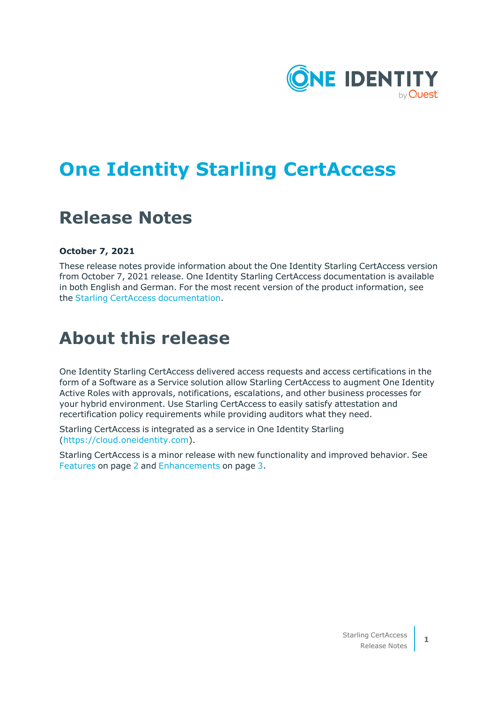

# **One Identity Starling CertAccess**

# **Release Notes**

#### **October 7, 2021**

These release notes provide information about the One Identity Starling CertAccess version from October 7, 2021 release. One Identity Starling CertAccess documentation is available in both English and German. For the most recent version of the product information, see the Starling CertAccess [documentation](https://support.oneidentity.com/starling-certaccess/hosted/technical-documents/).

## **About this release**

One Identity Starling CertAccess delivered access requests and access certifications in the form of a Software as a Service solution allow Starling CertAccess to augment One Identity Active Roles with approvals, notifications, escalations, and other business processes for your hybrid environment. Use Starling CertAccess to easily satisfy attestation and recertification policy requirements while providing auditors what they need.

Starling CertAccess is integrated as a service in One Identity Starling ([https://cloud.oneidentity.com](https://cloud.oneidentity.com/)).

Starling CertAccess is a minor release with new functionality and improved behavior. See [Features](#page-1-0) on page 2 and [Enhancements](#page-2-0) on page 3.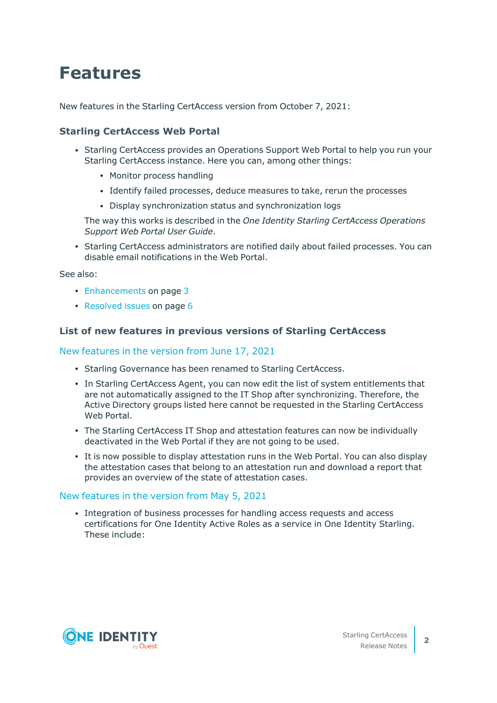# <span id="page-1-0"></span>**Features**

New features in the Starling CertAccess version from October 7, 2021:

### **Starling CertAccess Web Portal**

- Starling CertAccess provides an Operations Support Web Portal to help you run your Starling CertAccess instance. Here you can, among other things:
	- Monitor process handling
	- Identify failed processes, deduce measures to take, rerun the processes
	- Display synchronization status and synchronization logs

The way this works is described in the *One Identity Starling CertAccess Operations Support Web Portal User Guide*.

• Starling CertAccess administrators are notified daily about failed processes. You can disable email notifications in the Web Portal.

See also:

- [Enhancements](#page-2-0) on page 3
- $\cdot$  [Resolved](#page-5-0) issues on page 6

#### **List of new features in previous versions of Starling CertAccess**

#### New features in the version from June 17, 2021

- Starling Governance has been renamed to Starling CertAccess.
- In Starling CertAccess Agent, you can now edit the list of system entitlements that are not automatically assigned to the IT Shop after synchronizing. Therefore, the Active Directory groups listed here cannot be requested in the Starling CertAccess Web Portal.
- The Starling CertAccess IT Shop and attestation features can now be individually deactivated in the Web Portal if they are not going to be used.
- It is now possible to display attestation runs in the Web Portal. You can also display the attestation cases that belong to an attestation run and download a report that provides an overview of the state of attestation cases.

#### New features in the version from May 5, 2021

• Integration of business processes for handling access requests and access certifications for One Identity Active Roles as a service in One Identity Starling. These include:

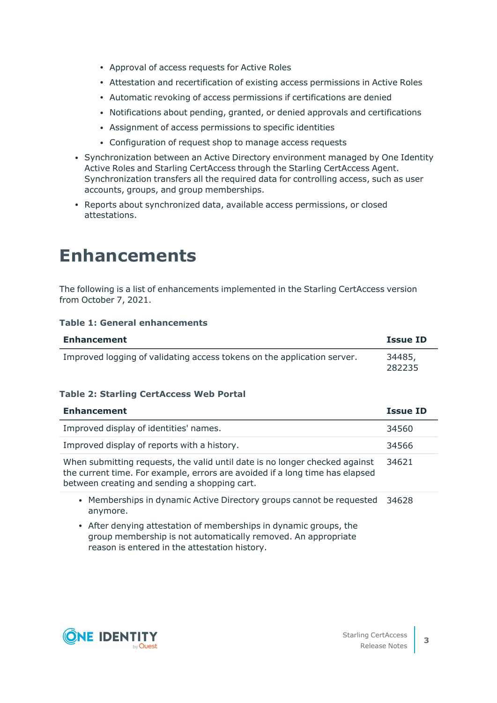- Approval of access requests for Active Roles
- Attestation and recertification of existing access permissions in Active Roles
- Automatic revoking of access permissions if certifications are denied
- Notifications about pending, granted, or denied approvals and certifications
- Assignment of access permissions to specific identities
- Configuration of request shop to manage access requests
- Synchronization between an Active Directory environment managed by One Identity Active Roles and Starling CertAccess through the Starling CertAccess Agent. Synchronization transfers all the required data for controlling access, such as user accounts, groups, and group memberships.
- Reports about synchronized data, available access permissions, or closed attestations.

## <span id="page-2-0"></span>**Enhancements**

The following is a list of enhancements implemented in the Starling CertAccess version from October 7, 2021.

#### **Table 1: General enhancements**

| <b>Enhancement</b>                                                      | <b>Issue ID</b>  |
|-------------------------------------------------------------------------|------------------|
| Improved logging of validating access tokens on the application server. | 34485,<br>282235 |

#### **Table 2: Starling CertAccess Web Portal**

| <b>Enhancement</b>                                                                                                                                                                                           | Issue ID |
|--------------------------------------------------------------------------------------------------------------------------------------------------------------------------------------------------------------|----------|
| Improved display of identities' names.                                                                                                                                                                       | 34560    |
| Improved display of reports with a history.                                                                                                                                                                  | 34566    |
| When submitting requests, the valid until date is no longer checked against<br>the current time. For example, errors are avoided if a long time has elapsed<br>between creating and sending a shopping cart. | 34621    |
| • Memberships in dynamic Active Directory groups cannot be requested<br>anymore.                                                                                                                             | 34628    |

• After denying attestation of memberships in dynamic groups, the group membership is not automatically removed. An appropriate reason is entered in the attestation history.

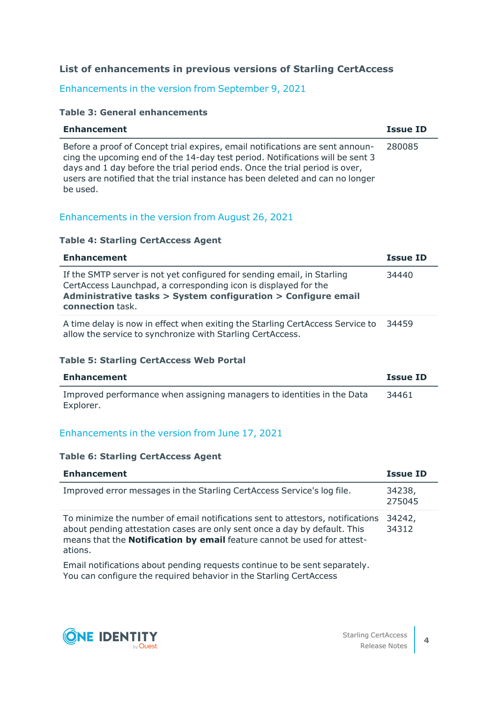## **List of enhancements in previous versions of Starling CertAccess**

## Enhancements in the version from September 9, 2021

#### **Table 3: General enhancements**

| <b>Enhancement</b>                                                                                                                                                                                                                                                                                                                         | <b>Issue ID</b> |
|--------------------------------------------------------------------------------------------------------------------------------------------------------------------------------------------------------------------------------------------------------------------------------------------------------------------------------------------|-----------------|
| Before a proof of Concept trial expires, email notifications are sent announ-<br>cing the upcoming end of the 14-day test period. Notifications will be sent 3<br>days and 1 day before the trial period ends. Once the trial period is over,<br>users are notified that the trial instance has been deleted and can no longer<br>be used. | 280085          |

## Enhancements in the version from August 26, 2021

#### **Table 4: Starling CertAccess Agent**

| <b>Enhancement</b>                                                                                                                                                                                                              | <b>Issue ID</b> |
|---------------------------------------------------------------------------------------------------------------------------------------------------------------------------------------------------------------------------------|-----------------|
| If the SMTP server is not yet configured for sending email, in Starling<br>CertAccess Launchpad, a corresponding icon is displayed for the<br>Administrative tasks > System configuration > Configure email<br>connection task. | 34440           |
| A time delay is now in effect when exiting the Starling CertAccess Service to<br>allow the service to synchronize with Starling CertAccess.                                                                                     | 34459           |

#### **Table 5: Starling CertAccess Web Portal**

| Enhancement                                                                         | Issue ID |
|-------------------------------------------------------------------------------------|----------|
| Improved performance when assigning managers to identities in the Data<br>Explorer. | 34461    |

## Enhancements in the version from June 17, 2021

#### **Table 6: Starling CertAccess Agent**

| <b>Enhancement</b>                                                                                                                                                                                                                                       | <b>Issue ID</b>  |
|----------------------------------------------------------------------------------------------------------------------------------------------------------------------------------------------------------------------------------------------------------|------------------|
| Improved error messages in the Starling CertAccess Service's log file.                                                                                                                                                                                   | 34238,<br>275045 |
| To minimize the number of email notifications sent to attestors, notifications<br>about pending attestation cases are only sent once a day by default. This<br>means that the <b>Notification by email</b> feature cannot be used for attest-<br>ations. | 34242,<br>34312  |
| Email notifications about pending requests continue to be sent separately.                                                                                                                                                                               |                  |

 $\,$  notifications about pending requests continue to be sent separately. You can configure the required behavior in the Starling CertAccess



**4**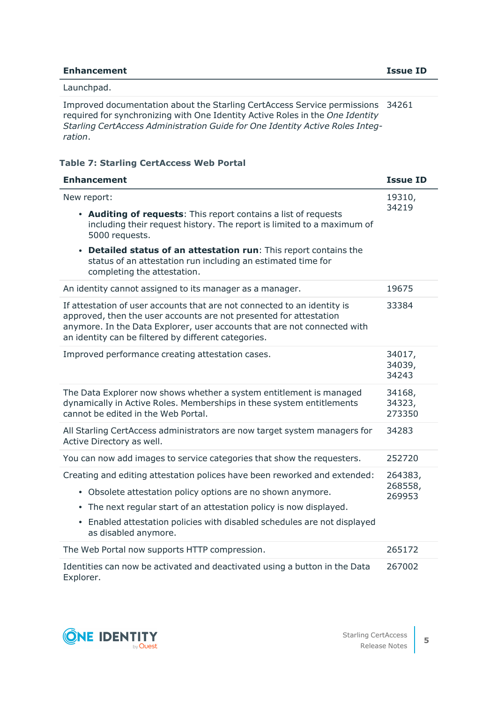#### **Enhancement Issue ID**

#### Launchpad.

Improved documentation about the Starling CertAccess Service permissions 34261 required for synchronizing with One Identity Active Roles in the *One Identity Starling CertAccess Administration Guide for One Identity Active Roles Integration*.

#### **Table 7: Starling CertAccess Web Portal**

| <b>Enhancement</b>                                                                                                                                                                                                                                                                                                                                        | <b>Issue ID</b>              |
|-----------------------------------------------------------------------------------------------------------------------------------------------------------------------------------------------------------------------------------------------------------------------------------------------------------------------------------------------------------|------------------------------|
| New report:<br>• Auditing of requests: This report contains a list of requests<br>including their request history. The report is limited to a maximum of<br>5000 requests.<br>Detailed status of an attestation run: This report contains the<br>$\bullet$<br>status of an attestation run including an estimated time for<br>completing the attestation. | 19310,<br>34219              |
| An identity cannot assigned to its manager as a manager.                                                                                                                                                                                                                                                                                                  | 19675                        |
| If attestation of user accounts that are not connected to an identity is<br>approved, then the user accounts are not presented for attestation<br>anymore. In the Data Explorer, user accounts that are not connected with<br>an identity can be filtered by different categories.                                                                        | 33384                        |
| Improved performance creating attestation cases.                                                                                                                                                                                                                                                                                                          | 34017,<br>34039,<br>34243    |
| The Data Explorer now shows whether a system entitlement is managed<br>dynamically in Active Roles. Memberships in these system entitlements<br>cannot be edited in the Web Portal.                                                                                                                                                                       | 34168,<br>34323,<br>273350   |
| All Starling CertAccess administrators are now target system managers for<br>Active Directory as well.                                                                                                                                                                                                                                                    | 34283                        |
| You can now add images to service categories that show the requesters.                                                                                                                                                                                                                                                                                    | 252720                       |
| Creating and editing attestation polices have been reworked and extended:<br>• Obsolete attestation policy options are no shown anymore.<br>• The next regular start of an attestation policy is now displayed.<br>• Enabled attestation policies with disabled schedules are not displayed<br>as disabled anymore.                                       | 264383,<br>268558,<br>269953 |
| The Web Portal now supports HTTP compression.                                                                                                                                                                                                                                                                                                             | 265172                       |
| Identities can now be activated and deactivated using a button in the Data                                                                                                                                                                                                                                                                                | 267002                       |

Explorer.

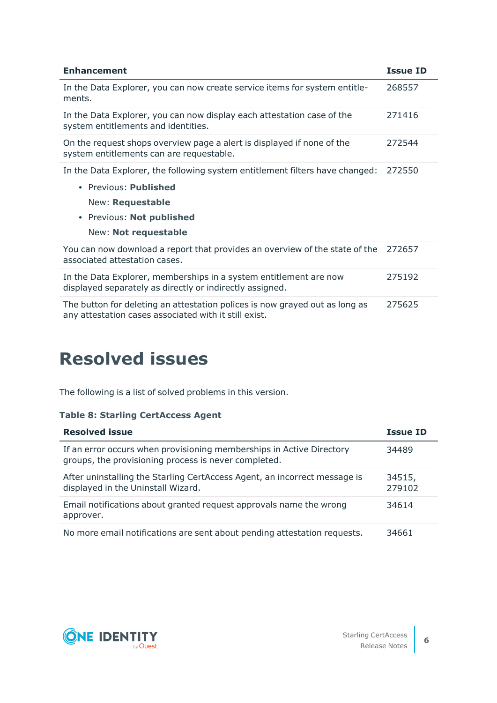| <b>Enhancement</b>                                                                                                                                                                    | <b>Issue ID</b> |
|---------------------------------------------------------------------------------------------------------------------------------------------------------------------------------------|-----------------|
| In the Data Explorer, you can now create service items for system entitle-<br>ments.                                                                                                  | 268557          |
| In the Data Explorer, you can now display each attestation case of the<br>system entitlements and identities.                                                                         | 271416          |
| On the request shops overview page a alert is displayed if none of the<br>system entitlements can are requestable.                                                                    | 272544          |
| In the Data Explorer, the following system entitlement filters have changed:<br>• Previous: Published<br><b>New: Requestable</b><br>• Previous: Not published<br>New: Not requestable | 272550          |
| You can now download a report that provides an overview of the state of the<br>associated attestation cases.                                                                          | 272657          |
| In the Data Explorer, memberships in a system entitlement are now<br>displayed separately as directly or indirectly assigned.                                                         | 275192          |
| The button for deleting an attestation polices is now grayed out as long as<br>any attestation cases associated with it still exist.                                                  | 275625          |

# <span id="page-5-0"></span>**Resolved issues**

The following is a list of solved problems in this version.

### **Table 8: Starling CertAccess Agent**

| <b>Resolved issue</b>                                                                                                        | <b>Issue ID</b>  |
|------------------------------------------------------------------------------------------------------------------------------|------------------|
| If an error occurs when provisioning memberships in Active Directory<br>groups, the provisioning process is never completed. | 34489            |
| After uninstalling the Starling CertAccess Agent, an incorrect message is<br>displayed in the Uninstall Wizard.              | 34515,<br>279102 |
| Email notifications about granted request approvals name the wrong<br>approver.                                              | 34614            |
| No more email notifications are sent about pending attestation requests.                                                     | 34661            |

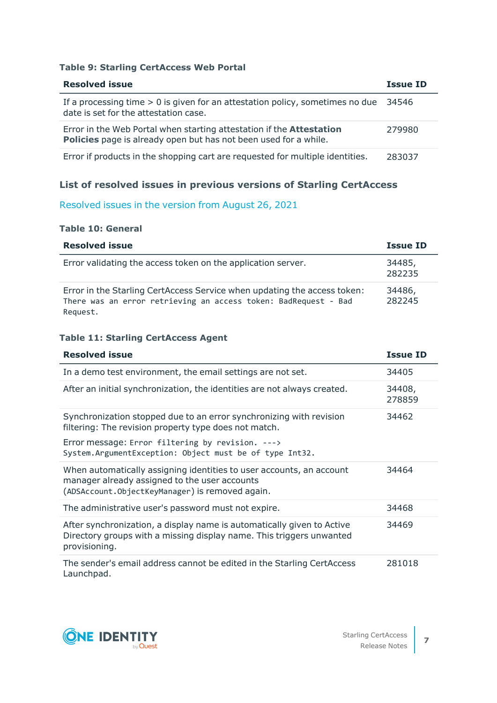#### **Table 9: Starling CertAccess Web Portal**

| <b>Resolved issue</b>                                                                                                                                  | <b>Issue ID</b> |
|--------------------------------------------------------------------------------------------------------------------------------------------------------|-----------------|
| If a processing time $> 0$ is given for an attestation policy, sometimes no due<br>date is set for the attestation case.                               | -34546          |
| Error in the Web Portal when starting attestation if the <b>Attestation</b><br><b>Policies</b> page is already open but has not been used for a while. | 279980          |
| Error if products in the shopping cart are requested for multiple identities.                                                                          | 283037          |

## **List of resolved issues in previous versions of Starling CertAccess**

## Resolved issues in the version from August 26, 2021

#### **Table 10: General**

| <b>Resolved issue</b>                                                                                                                                   | <b>Issue ID</b>  |
|---------------------------------------------------------------------------------------------------------------------------------------------------------|------------------|
| Error validating the access token on the application server.                                                                                            | 34485,<br>282235 |
| Error in the Starling CertAccess Service when updating the access token:<br>There was an error retrieving an access token: BadRequest - Bad<br>Request. | 34486,<br>282245 |

#### **Table 11: Starling CertAccess Agent**

| <b>Resolved issue</b>                                                                                                                                                    | <b>Issue ID</b>  |
|--------------------------------------------------------------------------------------------------------------------------------------------------------------------------|------------------|
| In a demo test environment, the email settings are not set.                                                                                                              | 34405            |
| After an initial synchronization, the identities are not always created.                                                                                                 | 34408,<br>278859 |
| Synchronization stopped due to an error synchronizing with revision<br>filtering: The revision property type does not match.                                             | 34462            |
| Error message: Error filtering by revision. ---><br>System.ArgumentException: Object must be of type Int32.                                                              |                  |
| When automatically assigning identities to user accounts, an account<br>manager already assigned to the user accounts<br>(ADSAccount.ObjectKeyManager) is removed again. | 34464            |
| The administrative user's password must not expire.                                                                                                                      | 34468            |
| After synchronization, a display name is automatically given to Active<br>Directory groups with a missing display name. This triggers unwanted<br>provisioning.          | 34469            |
| The sender's email address cannot be edited in the Starling CertAccess<br>Launchpad.                                                                                     | 281018           |



**7**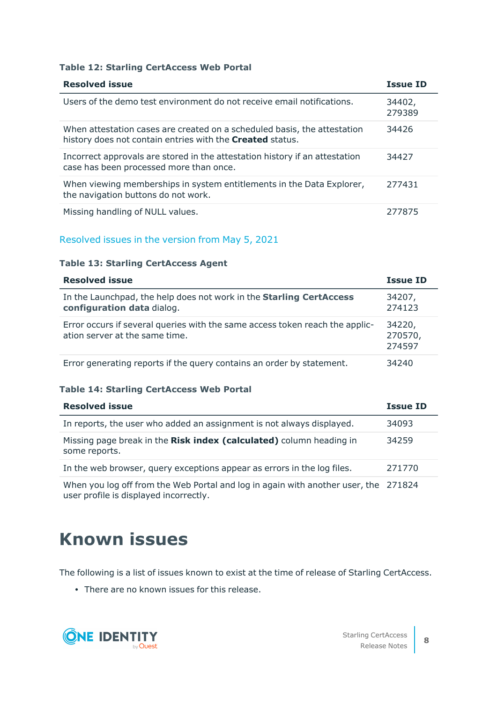#### **Table 12: Starling CertAccess Web Portal**

| <b>Resolved issue</b>                                                                                                                        | <b>Issue ID</b>  |
|----------------------------------------------------------------------------------------------------------------------------------------------|------------------|
| Users of the demo test environment do not receive email notifications.                                                                       | 34402,<br>279389 |
| When attestation cases are created on a scheduled basis, the attestation<br>history does not contain entries with the <b>Created</b> status. | 34426            |
| Incorrect approvals are stored in the attestation history if an attestation<br>case has been processed more than once.                       | 34427            |
| When viewing memberships in system entitlements in the Data Explorer,<br>the navigation buttons do not work.                                 | 277431           |
| Missing handling of NULL values.                                                                                                             | 277875           |

#### Resolved issues in the version from May 5, 2021

#### **Table 13: Starling CertAccess Agent**

| <b>Resolved issue</b>                                                                                          | <b>Issue ID</b>             |
|----------------------------------------------------------------------------------------------------------------|-----------------------------|
| In the Launchpad, the help does not work in the Starling CertAccess<br>configuration data dialog.              | 34207,<br>274123            |
| Error occurs if several queries with the same access token reach the applic-<br>ation server at the same time. | 34220,<br>270570,<br>274597 |
| Error generating reports if the query contains an order by statement.                                          | 34240                       |

#### **Table 14: Starling CertAccess Web Portal**

| <b>Resolved issue</b>                                                                                                         | <b>Issue ID</b> |
|-------------------------------------------------------------------------------------------------------------------------------|-----------------|
| In reports, the user who added an assignment is not always displayed.                                                         | 34093           |
| Missing page break in the Risk index (calculated) column heading in<br>some reports.                                          | 34259           |
| In the web browser, query exceptions appear as errors in the log files.                                                       | 271770          |
| When you log off from the Web Portal and log in again with another user, the 271824<br>user profile is displayed incorrectly. |                 |

# **Known issues**

The following is a list of issues known to exist at the time of release of Starling CertAccess.

• There are no known issues for this release.

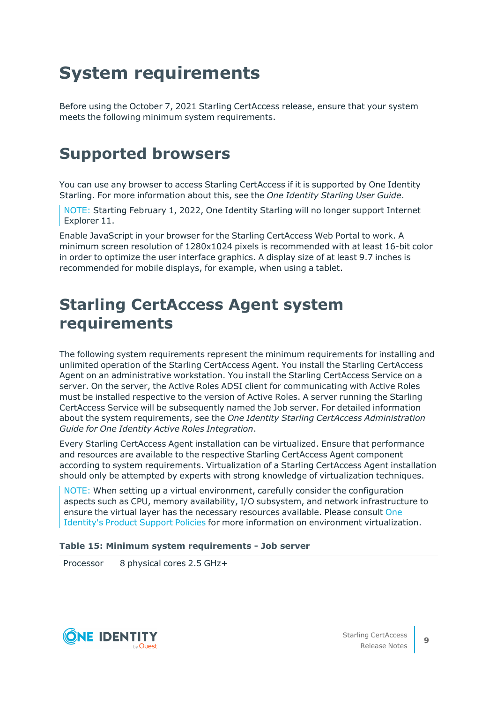# **System requirements**

Before using the October 7, 2021 Starling CertAccess release, ensure that your system meets the following minimum system requirements.

## **Supported browsers**

You can use any browser to access Starling CertAccess if it is supported by One Identity Starling. For more information about this, see the *One Identity Starling User Guide*.

NOTE: Starting February 1, 2022, One Identity Starling will no longer support Internet Explorer 11.

Enable JavaScript in your browser for the Starling CertAccess Web Portal to work. A minimum screen resolution of 1280x1024 pixels is recommended with at least 16-bit color in order to optimize the user interface graphics. A display size of at least 9.7 inches is recommended for mobile displays, for example, when using a tablet.

## **Starling CertAccess Agent system requirements**

The following system requirements represent the minimum requirements for installing and unlimited operation of the Starling CertAccess Agent. You install the Starling CertAccess Agent on an administrative workstation. You install the Starling CertAccess Service on a server. On the server, the Active Roles ADSI client for communicating with Active Roles must be installed respective to the version of Active Roles. A server running the Starling CertAccess Service will be subsequently named the Job server. For detailed information about the system requirements, see the *One Identity Starling CertAccess Administration Guide for One Identity Active Roles Integration*.

Every Starling CertAccess Agent installation can be virtualized. Ensure that performance and resources are available to the respective Starling CertAccess Agent component according to system requirements. Virtualization of a Starling CertAccess Agent installation should only be attempted by experts with strong knowledge of virtualization techniques.

NOTE: When setting up a virtual environment, carefully consider the configuration aspects such as CPU, memory availability, I/O subsystem, and network infrastructure to ensure the virtual layer has the necessary resources available. Please consult [One](https://support.oneidentity.com/essentials/support-guide#tab3) [Identity's](https://support.oneidentity.com/essentials/support-guide#tab3) Product Support Policies for more information on environment virtualization.

#### **Table 15: Minimum system requirements - Job server**

Processor 8 physical cores 2.5 GHz+

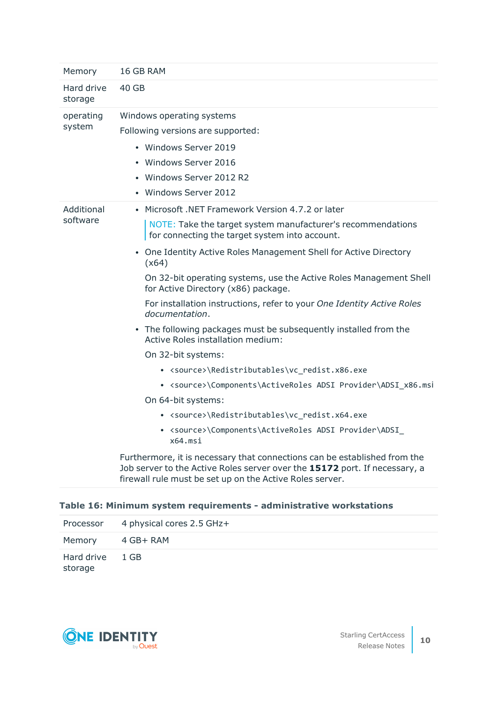| Memory                 | 16 GB RAM                                                                                                                                                                                                                                                                                                                                                                                                                                                                                                                                                                                                                                                                                                                                                                                                                                                                                                                                                                                                              |
|------------------------|------------------------------------------------------------------------------------------------------------------------------------------------------------------------------------------------------------------------------------------------------------------------------------------------------------------------------------------------------------------------------------------------------------------------------------------------------------------------------------------------------------------------------------------------------------------------------------------------------------------------------------------------------------------------------------------------------------------------------------------------------------------------------------------------------------------------------------------------------------------------------------------------------------------------------------------------------------------------------------------------------------------------|
| Hard drive<br>storage  | 40 GB                                                                                                                                                                                                                                                                                                                                                                                                                                                                                                                                                                                                                                                                                                                                                                                                                                                                                                                                                                                                                  |
| operating<br>system    | Windows operating systems<br>Following versions are supported:<br>• Windows Server 2019<br>• Windows Server 2016<br>• Windows Server 2012 R2<br>• Windows Server 2012                                                                                                                                                                                                                                                                                                                                                                                                                                                                                                                                                                                                                                                                                                                                                                                                                                                  |
| Additional<br>software | • Microsoft .NET Framework Version 4.7.2 or later<br>NOTE: Take the target system manufacturer's recommendations<br>for connecting the target system into account.<br>• One Identity Active Roles Management Shell for Active Directory<br>(x64)<br>On 32-bit operating systems, use the Active Roles Management Shell<br>for Active Directory (x86) package.<br>For installation instructions, refer to your One Identity Active Roles<br>documentation.<br>• The following packages must be subsequently installed from the<br>Active Roles installation medium:<br>On 32-bit systems:<br>• <source/> \Redistributables\vc_redist.x86.exe<br>• <source/> \Components\ActiveRoles ADSI Provider\ADSI x86.msi<br>On 64-bit systems:<br>• <source/> \Redistributables\vc_redist.x64.exe<br>• <source/> \Components\ActiveRoles ADSI Provider\ADSI<br>x64.msi<br>Furthermore, it is necessary that connections can be established from the<br>Job server to the Active Roles server over the 15172 port. If necessary, a |
|                        | firewall rule must be set up on the Active Roles server.                                                                                                                                                                                                                                                                                                                                                                                                                                                                                                                                                                                                                                                                                                                                                                                                                                                                                                                                                               |

## **Table 16: Minimum system requirements - administrative workstations**

|                            | Processor 4 physical cores 2.5 GHz+ |
|----------------------------|-------------------------------------|
| Memory 4 GB+ RAM           |                                     |
| Hard drive 1 GB<br>storage |                                     |

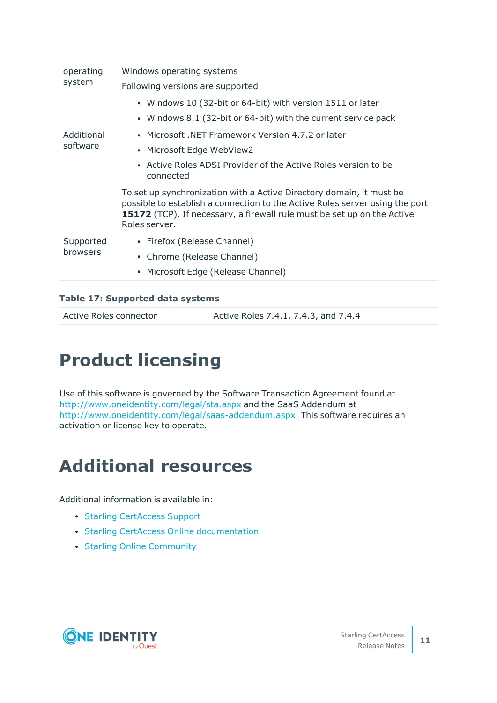| operating<br>system    | Windows operating systems                                                                                                                                                                                                                               |
|------------------------|---------------------------------------------------------------------------------------------------------------------------------------------------------------------------------------------------------------------------------------------------------|
|                        | Following versions are supported:                                                                                                                                                                                                                       |
|                        | • Windows 10 (32-bit or 64-bit) with version 1511 or later                                                                                                                                                                                              |
|                        | • Windows 8.1 (32-bit or 64-bit) with the current service pack                                                                                                                                                                                          |
| Additional<br>software | • Microsoft, NET Framework Version 4.7.2 or later                                                                                                                                                                                                       |
|                        | • Microsoft Edge WebView2                                                                                                                                                                                                                               |
|                        | Active Roles ADSI Provider of the Active Roles version to be<br>$\bullet$<br>connected                                                                                                                                                                  |
|                        | To set up synchronization with a Active Directory domain, it must be<br>possible to establish a connection to the Active Roles server using the port<br><b>15172</b> (TCP). If necessary, a firewall rule must be set up on the Active<br>Roles server. |
| Supported<br>browsers  | • Firefox (Release Channel)                                                                                                                                                                                                                             |
|                        | • Chrome (Release Channel)                                                                                                                                                                                                                              |
|                        | • Microsoft Edge (Release Channel)                                                                                                                                                                                                                      |
|                        |                                                                                                                                                                                                                                                         |

## **Table 17: Supported data systems**

Active Roles 7.4.1, 7.4.3, and 7.4.4

# **Product licensing**

Use of this software is governed by the Software Transaction Agreement found at <http://www.oneidentity.com/legal/sta.aspx> and the SaaS Addendum at <http://www.oneidentity.com/legal/saas-addendum.aspx>. This software requires an activation or license key to operate.

# **Additional resources**

Additional information is available in:

- Starling [CertAccess](https://support.oneidentity.com/starling-certaccess/hosted) Support
- Starling CertAccess Online [documentation](https://support.oneidentity.com/starling-certaccess/hosted/technical-documents/)
- Starling Online [Community](https://www.oneidentity.com/community/starling/f/forum)

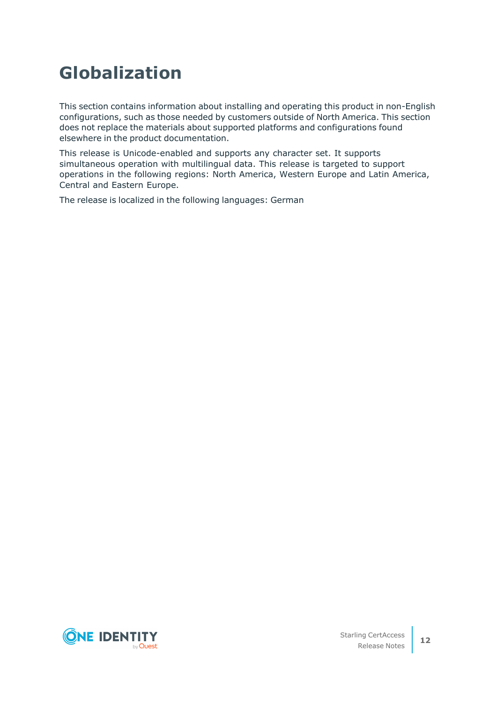# **Globalization**

This section contains information about installing and operating this product in non-English configurations, such as those needed by customers outside of North America. This section does not replace the materials about supported platforms and configurations found elsewhere in the product documentation.

This release is Unicode-enabled and supports any character set. It supports simultaneous operation with multilingual data. This release is targeted to support operations in the following regions: North America, Western Europe and Latin America, Central and Eastern Europe.

The release is localized in the following languages: German

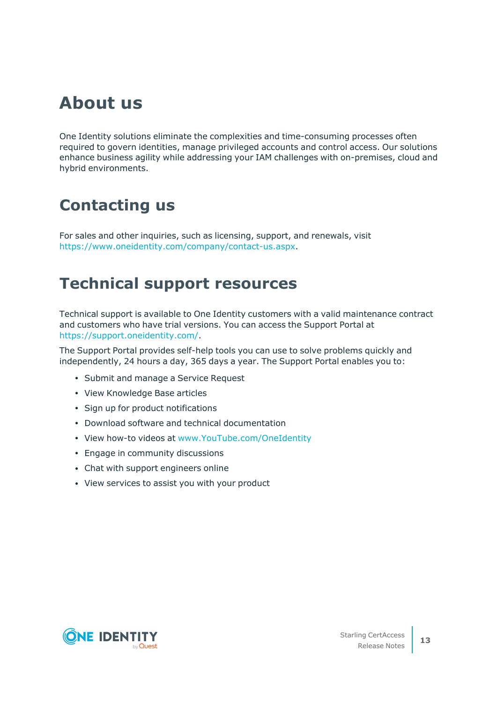# **About us**

One Identity solutions eliminate the complexities and time-consuming processes often required to govern identities, manage privileged accounts and control access. Our solutions enhance business agility while addressing your IAM challenges with on-premises, cloud and hybrid environments.

## **Contacting us**

For sales and other inquiries, such as licensing, support, and renewals, visit [https://www.oneidentity.com/company/contact-us.aspx.](https://www.oneidentity.com/company/contact-us.aspx)

## **Technical support resources**

Technical support is available to One Identity customers with a valid maintenance contract and customers who have trial versions. You can access the Support Portal at [https://support.oneidentity.com/.](https://support.oneidentity.com/)

The Support Portal provides self-help tools you can use to solve problems quickly and independently, 24 hours a day, 365 days a year. The Support Portal enables you to:

- Submit and manage a Service Request
- View Knowledge Base articles
- Sign up for product notifications
- Download software and technical documentation
- View how-to videos at [www.YouTube.com/OneIdentity](http://www.youtube.com/OneIdentity)
- Engage in community discussions
- Chat with support engineers online
- View services to assist you with your product